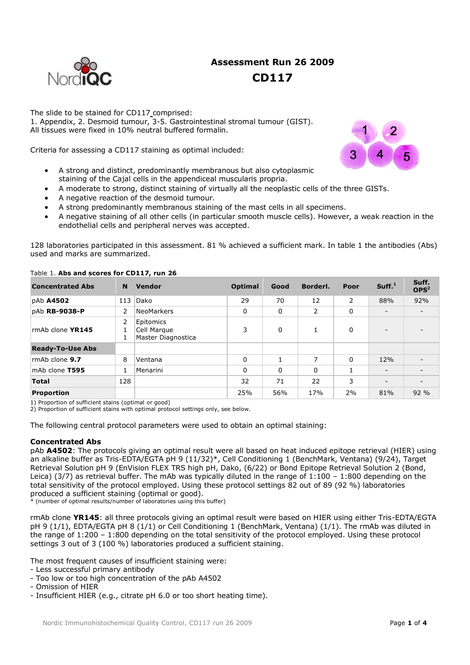# **Assessment Run 26 2009 CD117**



The slide to be stained for CD117 comprised: 1. Appendix, 2. Desmoid tumour, 3-5. Gastrointestinal stromal tumour (GIST). All tissues were fixed in 10% neutral buffered formalin.

Criteria for assessing a CD117 staining as optimal included:

- A strong and distinct, predominantly membranous but also cytoplasmic staining of the Cajal cells in the appendiceal muscularis propria.
- A moderate to strong, distinct staining of virtually all the neoplastic cells of the three GISTs.
- A negative reaction of the desmoid tumour.
- A strong predominantly membranous staining of the mast cells in all specimens.
- A negative staining of all other cells (in particular smooth muscle cells). However, a weak reaction in the endothelial cells and peripheral nerves was accepted.

128 laboratories participated in this assessment. 81 % achieved a sufficient mark. In table 1 the antibodies (Abs) used and marks are summarized.

| <b>Concentrated Abs</b>                                           | N           | <b>Vendor</b>                                  | <b>Optimal</b> | Good     | Borderl. | Poor | Suff. <sup>1</sup>       | Suff.<br>OPS <sup>2</sup> |
|-------------------------------------------------------------------|-------------|------------------------------------------------|----------------|----------|----------|------|--------------------------|---------------------------|
| pAb <b>A4502</b>                                                  | 113         | Dako                                           | 29             | 70       | 12       | 2    | 88%                      | 92%                       |
| pAb RB-9038-P                                                     | 2           | <b>NeoMarkers</b>                              | 0              | 0        | 2        | 0    | $\overline{\phantom{0}}$ |                           |
| rmAb clone YR145                                                  | 2<br>1<br>1 | Epitomics<br>Cell Margue<br>Master Diagnostica | 3              | $\Omega$ | 1        | 0    | $\overline{\phantom{0}}$ |                           |
| <b>Ready-To-Use Abs</b>                                           |             |                                                |                |          |          |      |                          |                           |
| rmAb clone 9.7                                                    | 8           | Ventana                                        | $\Omega$       |          | 7        | 0    | 12%                      |                           |
| mAb clone T595                                                    | 1           | Menarini                                       | $\Omega$       | 0        | 0        |      | $\overline{\phantom{a}}$ |                           |
| <b>Total</b>                                                      | 128         |                                                | 32             | 71       | 22       | 3    | $\overline{\phantom{a}}$ |                           |
| Proportion<br>$\cdots$ . The contract is the contract of $\cdots$ |             |                                                | 25%            | 56%      | 17%      | 2%   | 81%                      | 92 %                      |

# Table 1. **Abs and scores for CD117, run 26**

1) Proportion of sufficient stains (optimal or good)

2) Proportion of sufficient stains with optimal protocol settings only, see below.

The following central protocol parameters were used to obtain an optimal staining:

# **Concentrated Abs**

pAb **A4502**: The protocols giving an optimal result were all based on heat induced epitope retrieval (HIER) using an alkaline buffer as Tris-EDTA/EGTA pH 9 (11/32)\*, Cell Conditioning 1 (BenchMark, Ventana) (9/24), Target Retrieval Solution pH 9 (EnVision FLEX TRS high pH, Dako, (6/22) or Bond Epitope Retrieval Solution 2 (Bond, Leica) (3/7) as retrieval buffer. The mAb was typically diluted in the range of  $1:100 - 1:800$  depending on the total sensitivity of the protocol employed. Using these protocol settings 82 out of 89 (92 %) laboratories produced a sufficient staining (optimal or good).

\* (number of optimal results/number of laboratories using this buffer)

rmAb clone **YR145**: all three protocols giving an optimal result were based on HIER using either Tris-EDTA/EGTA pH 9 (1/1), EDTA/EGTA pH 8 (1/1) or Cell Conditioning 1 (BenchMark, Ventana) (1/1). The rmAb was diluted in the range of 1:200 – 1:800 depending on the total sensitivity of the protocol employed. Using these protocol settings 3 out of 3 (100 %) laboratories produced a sufficient staining.

The most frequent causes of insufficient staining were:

- Less successful primary antibody
- Too low or too high concentration of the pAb A4502
- Omission of HIER
- Insufficient HIER (e.g., citrate pH 6.0 or too short heating time).

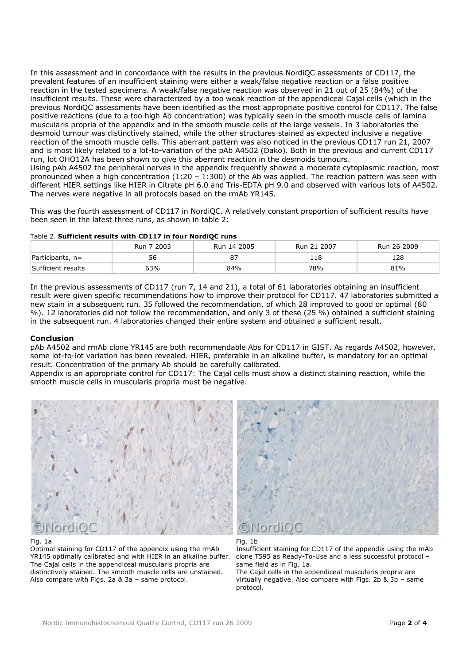In this assessment and in concordance with the results in the previous NordiQC assessments of CD117, the prevalent features of an insufficient staining were either a weak/false negative reaction or a false positive reaction in the tested specimens. A weak/false negative reaction was observed in 21 out of 25 (84%) of the insufficient results. These were characterized by a too weak reaction of the appendiceal Cajal cells (which in the previous NordiQC assessments have been identified as the most appropriate positive control for CD117. The false positive reactions (due to a too high Ab concentration) was typically seen in the smooth muscle cells of lamina muscularis propria of the appendix and in the smooth muscle cells of the large vessels. In 3 laboratories the desmoid tumour was distinctively stained, while the other structures stained as expected inclusive a negative reaction of the smooth muscle cells. This aberrant pattern was also noticed in the previous CD117 run 21, 2007 and is most likely related to a lot-to-variation of the pAb A4502 (Dako). Both in the previous and current CD117 run, lot OHO12A has been shown to give this aberrant reaction in the desmoids tumours. Using pAb A4502 the peripheral nerves in the appendix frequently showed a moderate cytoplasmic reaction, most pronounced when a high concentration (1:20 – 1:300) of the Ab was applied. The reaction pattern was seen with different HIER settings like HIER in Citrate pH 6.0 and Tris-EDTA pH 9.0 and observed with various lots of A4502. The nerves were negative in all protocols based on the rmAb YR145.

This was the fourth assessment of CD117 in NordiQC. A relatively constant proportion of sufficient results have been seen in the latest three runs, as shown in table 2:

|                    | Run 7 2003 | Run 14 2005 | Run 21 2007 | Run 26 2009 |
|--------------------|------------|-------------|-------------|-------------|
| $Participants, n=$ | 56         |             | 118         | 128         |
| Sufficient results | 63%        | 84%         | 78%         | 81%         |

Table 2. **Sufficient results with CD117 in four NordiQC runs**

In the previous assessments of CD117 (run 7, 14 and 21), a total of 61 laboratories obtaining an insufficient result were given specific recommendations how to improve their protocol for CD117. 47 laboratories submitted a new stain in a subsequent run. 35 followed the recommendation, of which 28 improved to good or optimal (80 %). 12 laboratories did not follow the recommendation, and only 3 of these (25 %) obtained a sufficient staining in the subsequent run. 4 laboratories changed their entire system and obtained a sufficient result.

### **Conclusion**

pAb A4502 and rmAb clone YR145 are both recommendable Abs for CD117 in GIST. As regards A4502, however, some lot-to-lot variation has been revealed. HIER, preferable in an alkaline buffer, is mandatory for an optimal result. Concentration of the primary Ab should be carefully calibrated.

Appendix is an appropriate control for CD117: The Cajal cells must show a distinct staining reaction, while the smooth muscle cells in muscularis propria must be negative.



#### Fig. 1a

Optimal staining for CD117 of the appendix using the rmAb YR145 optimally calibrated and with HIER in an alkaline buffer. The Cajal cells in the appendiceal muscularis propria are distinctively stained. The smooth muscle cells are unstained. Also compare with Figs. 2a & 3a – same protocol.





Insufficient staining for CD117 of the appendix using the mAb clone T595 as Ready-To-Use and a less successful protocol – same field as in Fig. 1a.

The Cajal cells in the appendiceal muscularis propria are virtually negative. Also compare with Figs. 2b & 3b – same protocol.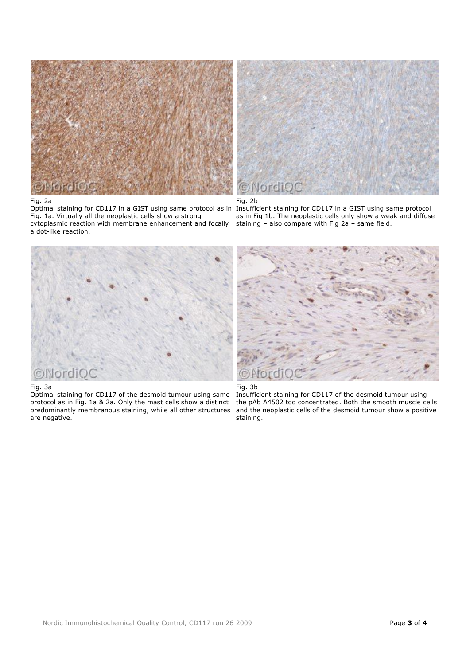

### Fig. 2a

a dot-like reaction.

Optimal staining for CD117 in a GIST using same protocol as in Fig. 1a. Virtually all the neoplastic cells show a strong cytoplasmic reaction with membrane enhancement and focally



# Fig. 2b

Insufficient staining for CD117 in a GIST using same protocol as in Fig 1b. The neoplastic cells only show a weak and diffuse staining – also compare with Fig 2a – same field.



## Fig. 3a

Optimal staining for CD117 of the desmoid tumour using same protocol as in Fig. 1a & 2a. Only the mast cells show a distinct predominantly membranous staining, while all other structures are negative.



# Fig. 3b

Insufficient staining for CD117 of the desmoid tumour using the pAb A4502 too concentrated. Both the smooth muscle cells and the neoplastic cells of the desmoid tumour show a positive staining.